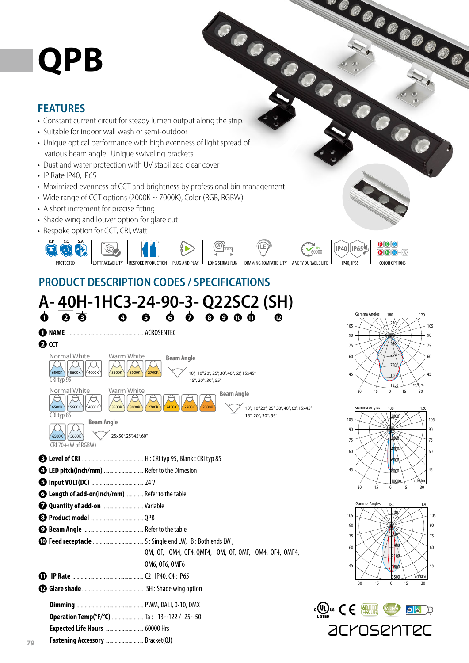# **QPB**

#### **FEATURES**

- 
- Suitable for indoor wall wash or semi-outdoor
- **OPB**<br>• Constant current circuit for steady lumen output along the strip. • Unique optical performance with high evenness of light spread of various beam angle. Unique swiveling brackets
- Dust and water protection with UV stabilized clear cover
- IP Rate IP40, IP65

**79**

- Maximized evenness of CCT and brightness by professional bin management.
- Wide range of CCT options (2000K ~ 7000K), Color (RGB, RGBW)
- A short increment for precise fitting
- Shade wing and louver option for glare cut
- Bespoke option for CCT, CRI, Watt



## **PRODUCT DESCRIPTION CODES / SPECIFICATIONS**

|                                                                                                                                                                             | A-40H-1HC3-24-90-3-Q22SC2 (SH)                                                                                                |                                                                                                                  |
|-----------------------------------------------------------------------------------------------------------------------------------------------------------------------------|-------------------------------------------------------------------------------------------------------------------------------|------------------------------------------------------------------------------------------------------------------|
| $\overline{a}$<br><b>O</b> NAME<br><b>O</b> CCT                                                                                                                             | $\overline{0}$ $\overline{0}$ $\overline{0}$ $\overline{0}$ $\overline{0}$ $\overline{0}$ $\overline{0}$ $\overline{0}$<br>®  | Gamma Angles<br>180<br>120<br>105<br>105<br>90<br>90<br>75<br>75                                                 |
| Normal White<br>Warm White<br>6500K<br>5600K<br>4000K<br>3500K<br>3000K<br>CRI typ 95                                                                                       | <b>Beam Angle</b><br>10°, 10*20°, 25°, 30°, 40°, 60°, 15x45°<br>2700K<br>15°, 20°, 30°, 55°                                   | 60<br>60<br>750<br>45<br>45<br>100<br>cd/klm<br>1250                                                             |
| Normal White<br>Warm White<br>6500K<br>5600K<br>4000K<br>3500K<br>3000K<br>CRI typ 85<br><b>Beam Angle</b><br>25x50°, 25°, 45°, 60°<br>5600K<br>6500K<br>CRI 70+(W of RGBW) | <b>Beam Angle</b><br>2700K<br>2200K<br>2000K<br><b>2450K</b><br>10°, 10*20°, 25°, 30°, 40°, 60°, 15x45°<br>15°, 20°, 30°, 55° | 15<br>15<br>30<br>30<br>$\mathbf{0}$<br>Gamma Angles<br>180<br>120<br>2000<br>10.<br>105<br>90<br>90<br>75<br>75 |
| <sup>2</sup> LED pitch(inch/mm)  Refer to the Dimesion<br><b>6 Length of add-on(inch/mm)</b> Refer to the table                                                             |                                                                                                                               | 4000<br>60<br>60<br>600<br>45<br>45<br>8000<br>cd/klm<br>10000<br>30<br>15<br>$\mathbf{0}$<br>15<br>30           |
| <b>Q Quantity of add-on </b> Variable                                                                                                                                       |                                                                                                                               | Gamma Angles<br>180<br>120<br>105<br>10<br>90<br>90<br>75<br>75<br>60<br>60                                      |
|                                                                                                                                                                             | QM, QF, QM4, QF4, QMF4, OM, OF, OMF, OM4, OF4, OMF4,<br>OM6, OF6, OMF6                                                        | 45<br>45<br>cd/klm<br>15<br>15<br>30<br>$\mathbf{0}$<br>30                                                       |
| Operation Temp(°F/°C)  Ta: -13~122/-25~50<br>Fastening Accessory  Bracket(QJ)                                                                                               |                                                                                                                               | $\boxed{\mathsf{p}}$<br>acrosentec                                                                               |

**COOCOOCOOCOO**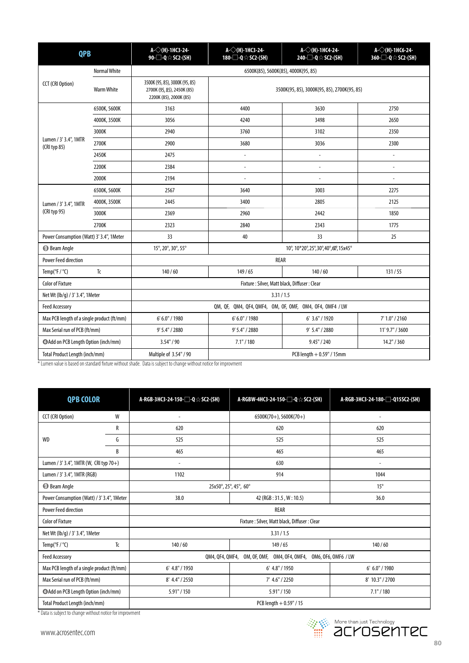| <b>QPB</b>                                 |                                                            | $A \sqrt{(H)}$ -1HC3-24-<br>90-□-Q☆SC2-(SH)                                            | $A<\left(\right)$ (H) 1HC3 24<br>180-□-Q☆SC2-(SH)        | $A<\left(\right)$ (H)-1HC4-24-<br>240-□-Q☆SC2-(SH)                                                                                                                                                                                                           | A- $\diamond$ (H)-1HC6-24-<br>360-□-Q☆SC2-(SH) |
|--------------------------------------------|------------------------------------------------------------|----------------------------------------------------------------------------------------|----------------------------------------------------------|--------------------------------------------------------------------------------------------------------------------------------------------------------------------------------------------------------------------------------------------------------------|------------------------------------------------|
|                                            | <b>Normal White</b><br>6500K(85), 5600K(85), 4000K(95, 85) |                                                                                        |                                                          |                                                                                                                                                                                                                                                              |                                                |
| CCT (CRI Option)                           | <b>Warm White</b>                                          | 3500K (95, 85), 3000K (95, 85)<br>2700K (95, 85), 2450K (85)<br>2200K (85), 2000K (85) |                                                          |                                                                                                                                                                                                                                                              |                                                |
|                                            | 6500K, 5600K                                               | 3163                                                                                   | 4400                                                     | 3630                                                                                                                                                                                                                                                         | 2750                                           |
|                                            | 4000K, 3500K                                               | 3056                                                                                   | 4240                                                     | 3498                                                                                                                                                                                                                                                         | 2650                                           |
|                                            | 3000K                                                      | 2940                                                                                   | 3760                                                     | 3500K(95, 85), 3000K(95, 85), 2700K(95, 85)<br>3102<br>3036<br>$\overline{\phantom{a}}$<br>$\overline{a}$<br>3003<br>2805<br>2442<br>2343<br>33<br>10°, 10*20°, 25°, 30°, 40°, 60°, 15x45°<br>REAR<br>140/60<br>3.31/1.5<br>6' 3.6" / 1920<br>9' 5.4" / 2880 | 2350                                           |
| Lumen / 3' 3.4", 1MTR<br>(CRI typ 85)      | 2700K                                                      | 2900                                                                                   | 3680                                                     |                                                                                                                                                                                                                                                              | 2300                                           |
|                                            | 2450K                                                      | 2475                                                                                   | $\overline{a}$                                           |                                                                                                                                                                                                                                                              | $\overline{\phantom{a}}$                       |
|                                            | 2200K                                                      | 2384                                                                                   | $\overline{a}$                                           |                                                                                                                                                                                                                                                              | $\overline{a}$                                 |
|                                            | 2000K                                                      | 2194                                                                                   | $\overline{a}$                                           |                                                                                                                                                                                                                                                              | $\overline{a}$                                 |
|                                            | 6500K, 5600K                                               | 2567                                                                                   | 3640                                                     |                                                                                                                                                                                                                                                              | 2275                                           |
| Lumen / 3' 3.4", 1MTR<br>(CRI typ 95)      | 4000K, 3500K                                               | 2445                                                                                   | 3400                                                     |                                                                                                                                                                                                                                                              | 2125                                           |
|                                            | 3000K                                                      | 2369                                                                                   | 2960                                                     |                                                                                                                                                                                                                                                              | 1850                                           |
|                                            | 2700K                                                      | 2323                                                                                   | 2840                                                     |                                                                                                                                                                                                                                                              | 1775                                           |
| Power Consumption (Watt) 3' 3.4", 1Meter   |                                                            | 33                                                                                     | 40                                                       |                                                                                                                                                                                                                                                              | 25                                             |
| <b>Beam Angle</b>                          |                                                            | 15°, 20°, 30°, 55°                                                                     |                                                          |                                                                                                                                                                                                                                                              |                                                |
| <b>Power Feed direction</b>                |                                                            |                                                                                        |                                                          |                                                                                                                                                                                                                                                              |                                                |
| Temp( ${}^{\circ}$ F / ${}^{\circ}$ C)     | Tc                                                         | 140/60                                                                                 | 149/65                                                   |                                                                                                                                                                                                                                                              | 131/55                                         |
| <b>Color of Fixture</b>                    |                                                            |                                                                                        | Fixture: Silver, Matt black, Diffuser: Clear             |                                                                                                                                                                                                                                                              |                                                |
| Net Wt (lb/g) / 3' 3.4", 1Meter            |                                                            |                                                                                        |                                                          |                                                                                                                                                                                                                                                              |                                                |
| <b>Feed Accessory</b>                      |                                                            |                                                                                        | QM, QF, QM4, QF4, QMF4, OM, OF, OMF, OM4, OF4, OMF4 / LW |                                                                                                                                                                                                                                                              |                                                |
| Max PCB length of a single product (ft/mm) |                                                            | 6' 6.0" / 1980                                                                         | 6' 6.0" / 1980                                           | 7' 1.0" / 2160                                                                                                                                                                                                                                               |                                                |
| Max Serial run of PCB (ft/mm)              |                                                            | 9' 5.4" / 2880                                                                         | 9' 5.4" / 2880                                           | 11' 9.7" / 3600                                                                                                                                                                                                                                              |                                                |
| Add on PCB Length Option (inch/mm)         |                                                            | 3.54" / 90                                                                             | 7.1" / 180                                               | 9.45'' / 240                                                                                                                                                                                                                                                 | 14.2" / 360                                    |
| Total Product Length (inch/mm)             |                                                            | Multiple of 3.54" / 90                                                                 | PCB length + 0.59" / 15mm                                |                                                                                                                                                                                                                                                              |                                                |

\* Lumen value is based on standard fi xture without shade. Data is subject to change without notice for improvment

| <b>QPB COLOR</b>                                        |                   | A-RGB-3HC3-24-150-□-Q☆SC2-(SH)                                      | A-RGBW-4HC3-24-150-□-Q☆SC2-(SH) | A-RGB-3HC3-24-180- <sup>1</sup> -Q15SC2-(SH) |
|---------------------------------------------------------|-------------------|---------------------------------------------------------------------|---------------------------------|----------------------------------------------|
| CCT (CRI Option)                                        | W                 |                                                                     | $6500K(70+)$ , 5600K(70+)       | ۰                                            |
|                                                         | R                 | 620                                                                 | 620                             | 620                                          |
| <b>WD</b>                                               | G                 | 525                                                                 | 525                             | 525                                          |
|                                                         | B                 | 465                                                                 | 465                             | 465                                          |
| Lumen / 3' 3.4", 1MTR (W, CRI typ 70+)<br>630<br>$\sim$ |                   |                                                                     | $\overline{\phantom{a}}$        |                                              |
| Lumen / 3' 3.4", 1MTR (RGB)                             |                   | 1102                                                                | 914                             | 1044                                         |
| <b>Beam Angle</b>                                       |                   | 25x50°, 25°, 45°, 60°                                               |                                 | $15^{\circ}$                                 |
| Power Consumption (Watt) / 3' 3.4", 1 Meter             |                   | 38.0                                                                | 42 (RGB: 31.5, W: 10.5)         | 36.0                                         |
| <b>Power Feed direction</b>                             |                   | REAR                                                                |                                 |                                              |
| <b>Color of Fixture</b>                                 |                   | Fixture: Silver, Matt black, Diffuser: Clear                        |                                 |                                              |
| Net Wt (lb/g) / 3' 3.4", 1Meter                         | 3.31/1.5          |                                                                     |                                 |                                              |
| Temp( $\degree$ F / $\degree$ C)                        | Tc                | 140/60                                                              | 149/65                          | 140/60                                       |
| <b>Feed Accessory</b>                                   |                   | OM, OF, OMF, OM4, OF4, OMF4, OM6, OF6, OMF6 / LW<br>QM4, QF4, QMF4, |                                 |                                              |
| Max PCB length of a single product (ft/mm)              |                   | $6'$ 4.8" / 1950                                                    | $6'$ 4.8" / 1950                | 6' 6.0" / 1980                               |
| Max Serial run of PCB (ft/mm)                           |                   | 8' 4.4" / 2550                                                      | 7' 4.6" / 2250                  | 8' 10.3" / 2700                              |
| @Add on PCB Length Option (inch/mm)                     |                   | $5.91$ " / 150                                                      | 5.91" / 150                     | 7.1" / 180                                   |
| Total Product Length (inch/mm)                          | $\cdots$ $\cdots$ | PCB length $+0.59$ " / 15                                           |                                 |                                              |

\* Data is subject to change without notice for improvment

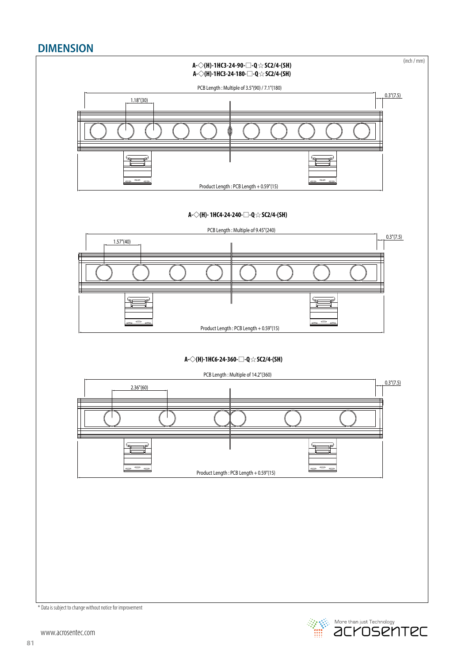## **DIMENSION**



**Example 2018** More than just Technology<br> **Example 2019 The CONTEC**